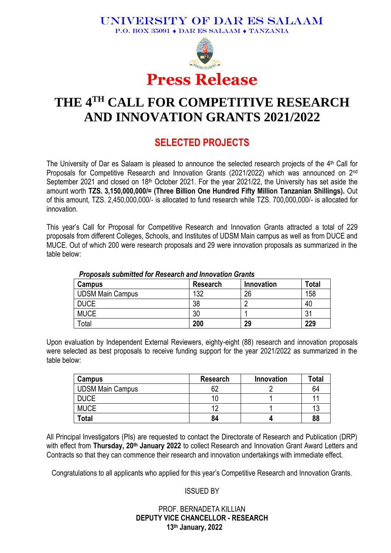#### UNIVERSITY OF DAR ES SALAAM P.O. BOX 35091  $\bullet$  DAR ES SALAAM  $\bullet$  TANZANIA



# **THE 4 TH CALL FOR COMPETITIVE RESEARCH AND INNOVATION GRANTS 2021/2022**

## **SELECTED PROJECTS**

The University of Dar es Salaam is pleased to announce the selected research projects of the 4<sup>th</sup> Call for Proposals for Competitive Research and Innovation Grants (2021/2022) which was announced on 2<sup>nd</sup> September 2021 and closed on 18<sup>th</sup> October 2021. For the year 2021/22, the University has set aside the amount worth **TZS. 3,150,000,000/= (Three Billion One Hundred Fifty Million Tanzanian Shillings).** Out of this amount, TZS. 2,450,000,000/- is allocated to fund research while TZS. 700,000,000/- is allocated for innovation.

This year's Call for Proposal for Competitive Research and Innovation Grants attracted a total of 229 proposals from different Colleges, Schools, and Institutes of UDSM Main campus as well as from DUCE and MUCE. Out of which 200 were research proposals and 29 were innovation proposals as summarized in the table below:

| Campus                  | Research | Innovation | <b>Total</b> |  |  |  |  |
|-------------------------|----------|------------|--------------|--|--|--|--|
| <b>UDSM Main Campus</b> | 132      | 26         | 158          |  |  |  |  |
| <b>DUCE</b>             | 38       |            | 40           |  |  |  |  |
| <b>MUCE</b>             | 30       |            | 31           |  |  |  |  |
| Total                   | 200      | 29         | 229          |  |  |  |  |

#### *Proposals submitted for Research and Innovation Grants*

Upon evaluation by Independent External Reviewers, eighty-eight (88) research and innovation proposals were selected as best proposals to receive funding support for the year 2021/2022 as summarized in the table below:

| Campus                  | <b>Research</b> | Innovation | Total |
|-------------------------|-----------------|------------|-------|
| <b>UDSM Main Campus</b> | 62              |            | 64    |
| <b>DUCE</b>             |                 |            |       |
| <b>MUCE</b>             |                 |            | 11    |
| <b>Total</b>            | 84              |            | 88    |

All Principal Investigators (PIs) are requested to contact the Directorate of Research and Publication (DRP) with effect from **Thursday, 20th January 2022** to collect Research and Innovation Grant Award Letters and Contracts so that they can commence their research and innovation undertakings with immediate effect.

Congratulations to all applicants who applied for this year's Competitive Research and Innovation Grants.

#### ISSUED BY

#### PROF. BERNADETA KILLIAN **DEPUTY VICE CHANCELLOR - RESEARCH 13th January, 2022**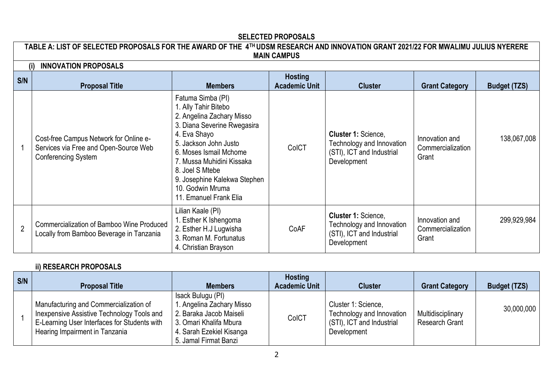#### **SELECTED PROPOSALS**

**TABLE A: LIST OF SELECTED PROPOSALS FOR THE AWARD OF THE 4TH UDSM RESEARCH AND INNOVATION GRANT 2021/22 FOR MWALIMU JULIUS NYERERE MAIN CAMPUS**

| (i)            | <b>INNOVATION PROPOSALS</b>                                                                                   |                                                                                                                                                                                                                                                                                                        |                                        |                                                                                                     |                                              |                     |
|----------------|---------------------------------------------------------------------------------------------------------------|--------------------------------------------------------------------------------------------------------------------------------------------------------------------------------------------------------------------------------------------------------------------------------------------------------|----------------------------------------|-----------------------------------------------------------------------------------------------------|----------------------------------------------|---------------------|
| S/N            | <b>Proposal Title</b>                                                                                         | <b>Members</b>                                                                                                                                                                                                                                                                                         | <b>Hosting</b><br><b>Academic Unit</b> | <b>Cluster</b>                                                                                      | <b>Grant Category</b>                        | <b>Budget (TZS)</b> |
|                | Cost-free Campus Network for Online e-<br>Services via Free and Open-Source Web<br><b>Conferencing System</b> | Fatuma Simba (PI)<br>1. Ally Tahir Bitebo<br>2. Angelina Zachary Misso<br>3. Diana Severine Rwegasira<br>4. Eva Shayo<br>5. Jackson John Justo<br>6. Moses Ismail Mchome<br>7. Mussa Muhidini Kissaka<br>8. Joel S Mtebe<br>9. Josephine Kalekwa Stephen<br>10. Godwin Mruma<br>11. Emanuel Frank Elia | ColCT                                  | <b>Cluster 1: Science,</b><br>Technology and Innovation<br>(STI), ICT and Industrial<br>Development | Innovation and<br>Commercialization<br>Grant | 138,067,008         |
| $\overline{2}$ | <b>Commercialization of Bamboo Wine Produced</b><br>Locally from Bamboo Beverage in Tanzania                  | Lilian Kaale (PI)<br>. Esther K Ishengoma<br>2. Esther H.J Lugwisha<br>3. Roman M. Fortunatus<br>4. Christian Brayson                                                                                                                                                                                  | CoAF                                   | <b>Cluster 1: Science,</b><br>Technology and Innovation<br>(STI), ICT and Industrial<br>Development | Innovation and<br>Commercialization<br>Grant | 299,929,984         |

#### **ii) RESEARCH PROPOSALS**

| S/N | <b>Proposal Title</b>                                                                                                                                                  | <b>Members</b>                                                                                                                                          | <b>Hosting</b><br><b>Academic Unit</b> | <b>Cluster</b>                                                                               | <b>Grant Category</b>                      | <b>Budget (TZS)</b> |
|-----|------------------------------------------------------------------------------------------------------------------------------------------------------------------------|---------------------------------------------------------------------------------------------------------------------------------------------------------|----------------------------------------|----------------------------------------------------------------------------------------------|--------------------------------------------|---------------------|
|     | Manufacturing and Commercialization of<br>Inexpensive Assistive Technology Tools and<br>E-Learning User Interfaces for Students with<br>Hearing Impairment in Tanzania | Isack Bulugu (PI)<br>. Angelina Zachary Misso<br>2. Baraka Jacob Maiseli<br>3. Omari Khalifa Mbura<br>4. Sarah Ezekiel Kisanga<br>5. Jamal Firmat Banzi | ColCT                                  | Cluster 1: Science,<br>Technology and Innovation<br>(STI), ICT and Industrial<br>Development | Multidisciplinary<br><b>Research Grant</b> | 30,000,000          |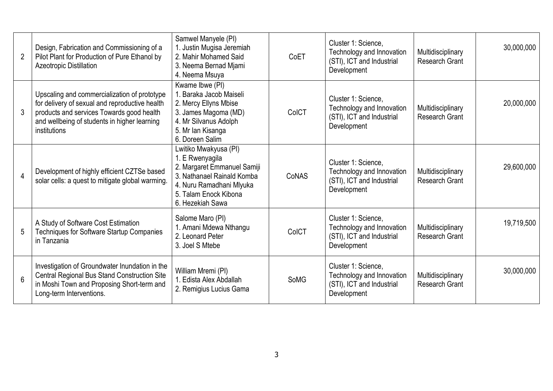| $\overline{2}$ | Design, Fabrication and Commissioning of a<br>Pilot Plant for Production of Pure Ethanol by<br><b>Azeotropic Distillation</b>                                                                               | Samwel Manyele (PI)<br>1. Justin Mugisa Jeremiah<br>2. Mahir Mohamed Said<br>3. Neema Bernad Mjami<br>4. Neema Msuya                                                           | CoET        | Cluster 1: Science,<br>Technology and Innovation<br>(STI), ICT and Industrial<br>Development | Multidisciplinary<br><b>Research Grant</b> | 30,000,000 |
|----------------|-------------------------------------------------------------------------------------------------------------------------------------------------------------------------------------------------------------|--------------------------------------------------------------------------------------------------------------------------------------------------------------------------------|-------------|----------------------------------------------------------------------------------------------|--------------------------------------------|------------|
| 3              | Upscaling and commercialization of prototype<br>for delivery of sexual and reproductive health<br>products and services Towards good health<br>and wellbeing of students in higher learning<br>institutions | Kwame Ibwe (PI)<br>1. Baraka Jacob Maiseli<br>2. Mercy Ellyns Mbise<br>3. James Magoma (MD)<br>4. Mr Silvanus Adolph<br>5. Mr lan Kisanga<br>6. Doreen Salim                   | ColCT       | Cluster 1: Science,<br>Technology and Innovation<br>(STI), ICT and Industrial<br>Development | Multidisciplinary<br><b>Research Grant</b> | 20,000,000 |
| $\overline{4}$ | Development of highly efficient CZTSe based<br>solar cells: a quest to mitigate global warming.                                                                                                             | Lwitiko Mwakyusa (PI)<br>1. E Rwenyagila<br>2. Margaret Emmanuel Samiji<br>3. Nathanael Rainald Komba<br>4. Nuru Ramadhani Mlyuka<br>5. Talam Enock Kibona<br>6. Hezekiah Sawa | CoNAS       | Cluster 1: Science,<br>Technology and Innovation<br>(STI), ICT and Industrial<br>Development | Multidisciplinary<br><b>Research Grant</b> | 29,600,000 |
| 5              | A Study of Software Cost Estimation<br>Techniques for Software Startup Companies<br>in Tanzania                                                                                                             | Salome Maro (PI)<br>1. Amani Mdewa Nthangu<br>2. Leonard Peter<br>3. Joel S Mtebe                                                                                              | ColCT       | Cluster 1: Science,<br>Technology and Innovation<br>(STI), ICT and Industrial<br>Development | Multidisciplinary<br><b>Research Grant</b> | 19,719,500 |
| 6              | Investigation of Groundwater Inundation in the<br>Central Regional Bus Stand Construction Site<br>in Moshi Town and Proposing Short-term and<br>Long-term Interventions.                                    | William Mremi (PI)<br>1. Edista Alex Abdallah<br>2. Remigius Lucius Gama                                                                                                       | <b>SoMG</b> | Cluster 1: Science,<br>Technology and Innovation<br>(STI), ICT and Industrial<br>Development | Multidisciplinary<br><b>Research Grant</b> | 30,000,000 |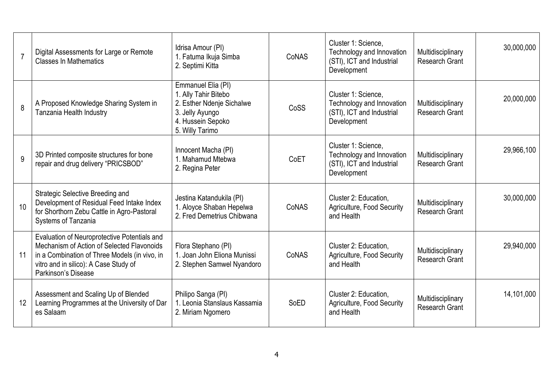| $\overline{7}$ | Digital Assessments for Large or Remote<br><b>Classes In Mathematics</b>                                                                                                                                    | Idrisa Amour (PI)<br>1. Fatuma Ikuja Simba<br>2. Septimi Kitta                                                                     | CoNAS | Cluster 1: Science,<br>Technology and Innovation<br>(STI), ICT and Industrial<br>Development | Multidisciplinary<br><b>Research Grant</b> | 30,000,000 |
|----------------|-------------------------------------------------------------------------------------------------------------------------------------------------------------------------------------------------------------|------------------------------------------------------------------------------------------------------------------------------------|-------|----------------------------------------------------------------------------------------------|--------------------------------------------|------------|
| 8              | A Proposed Knowledge Sharing System in<br>Tanzania Health Industry                                                                                                                                          | Emmanuel Elia (PI)<br>1. Ally Tahir Bitebo<br>2. Esther Ndenje Sichalwe<br>3. Jelly Ayungo<br>4. Hussein Sepoko<br>5. Willy Tarimo | CoSS  | Cluster 1: Science,<br>Technology and Innovation<br>(STI), ICT and Industrial<br>Development | Multidisciplinary<br><b>Research Grant</b> | 20,000,000 |
| 9              | 3D Printed composite structures for bone<br>repair and drug delivery "PRICSBOD"                                                                                                                             | Innocent Macha (PI)<br>1. Mahamud Mtebwa<br>2. Regina Peter                                                                        | CoET  | Cluster 1: Science,<br>Technology and Innovation<br>(STI), ICT and Industrial<br>Development | Multidisciplinary<br><b>Research Grant</b> | 29,966,100 |
| 10             | Strategic Selective Breeding and<br>Development of Residual Feed Intake Index<br>for Shorthorn Zebu Cattle in Agro-Pastoral<br>Systems of Tanzania                                                          | Jestina Katandukila (PI)<br>1. Aloyce Shaban Hepelwa<br>2. Fred Demetrius Chibwana                                                 | CoNAS | Cluster 2: Education,<br>Agriculture, Food Security<br>and Health                            | Multidisciplinary<br><b>Research Grant</b> | 30,000,000 |
| 11             | Evaluation of Neuroprotective Potentials and<br>Mechanism of Action of Selected Flavonoids<br>in a Combination of Three Models (in vivo, in<br>vitro and in silico): A Case Study of<br>Parkinson's Disease | Flora Stephano (PI)<br>1. Joan John Eliona Munissi<br>2. Stephen Samwel Nyandoro                                                   | CoNAS | Cluster 2: Education,<br>Agriculture, Food Security<br>and Health                            | Multidisciplinary<br><b>Research Grant</b> | 29,940,000 |
| 12             | Assessment and Scaling Up of Blended<br>Learning Programmes at the University of Dar<br>es Salaam                                                                                                           | Philipo Sanga (PI)<br>1. Leonia Stanslaus Kassamia<br>2. Miriam Ngomero                                                            | SoED  | Cluster 2: Education,<br>Agriculture, Food Security<br>and Health                            | Multidisciplinary<br><b>Research Grant</b> | 14,101,000 |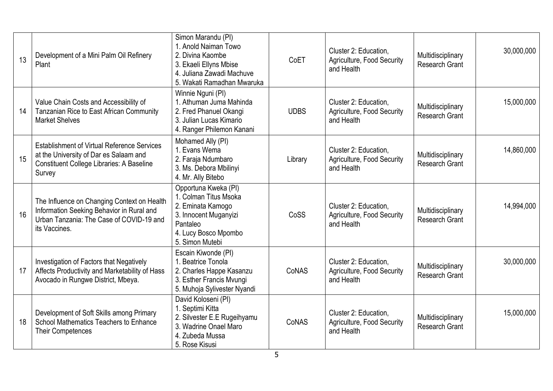| 13 | Development of a Mini Palm Oil Refinery<br>Plant                                                                                                           | Simon Marandu (PI)<br>1. Anold Naiman Towo<br>2. Divina Kaombe<br>3. Ekaeli Ellyns Mbise<br>4. Juliana Zawadi Machuve<br>5. Wakati Ramadhan Mwaruka | CoET        | Cluster 2: Education,<br>Agriculture, Food Security<br>and Health | Multidisciplinary<br><b>Research Grant</b> | 30,000,000 |
|----|------------------------------------------------------------------------------------------------------------------------------------------------------------|-----------------------------------------------------------------------------------------------------------------------------------------------------|-------------|-------------------------------------------------------------------|--------------------------------------------|------------|
| 14 | Value Chain Costs and Accessibility of<br>Tanzanian Rice to East African Community<br><b>Market Shelves</b>                                                | Winnie Nguni (PI)<br>1. Athuman Juma Mahinda<br>2. Fred Phanuel Okangi<br>3. Julian Lucas Kimario<br>4. Ranger Philemon Kanani                      | <b>UDBS</b> | Cluster 2: Education,<br>Agriculture, Food Security<br>and Health | Multidisciplinary<br><b>Research Grant</b> | 15,000,000 |
| 15 | <b>Establishment of Virtual Reference Services</b><br>at the University of Dar es Salaam and<br><b>Constituent College Libraries: A Baseline</b><br>Survey | Mohamed Ally (PI)<br>1. Evans Wema<br>2. Faraja Ndumbaro<br>3. Ms. Debora Mbilinyi<br>4. Mr. Ally Bitebo                                            | Library     | Cluster 2: Education,<br>Agriculture, Food Security<br>and Health | Multidisciplinary<br><b>Research Grant</b> | 14,860,000 |
| 16 | The Influence on Changing Context on Health<br>Information Seeking Behavior in Rural and<br>Urban Tanzania: The Case of COVID-19 and<br>its Vaccines.      | Opportuna Kweka (PI)<br>1. Colman Titus Msoka<br>2. Eminata Kamogo<br>3. Innocent Muganyizi<br>Pantaleo<br>4. Lucy Bosco Mpombo<br>5. Simon Mutebi  | CoSS        | Cluster 2: Education,<br>Agriculture, Food Security<br>and Health | Multidisciplinary<br><b>Research Grant</b> | 14,994,000 |
| 17 | Investigation of Factors that Negatively<br>Affects Productivity and Marketability of Hass<br>Avocado in Rungwe District, Mbeya.                           | Escain Kiwonde (PI)<br>1. Beatrice Tonola<br>2. Charles Happe Kasanzu<br>3. Esther Francis Mvungi<br>5. Muhoja Sylivester Nyandi                    | CoNAS       | Cluster 2: Education,<br>Agriculture, Food Security<br>and Health | Multidisciplinary<br><b>Research Grant</b> | 30,000,000 |
| 18 | Development of Soft Skills among Primary<br>School Mathematics Teachers to Enhance<br><b>Their Competences</b>                                             | David Koloseni (PI)<br>1. Septimi Kitta<br>2. Silvester E.E Rugeihyamu<br>3. Wadrine Onael Maro<br>4. Zubeda Mussa<br>5. Rose Kisusi                | CoNAS       | Cluster 2: Education,<br>Agriculture, Food Security<br>and Health | Multidisciplinary<br><b>Research Grant</b> | 15,000,000 |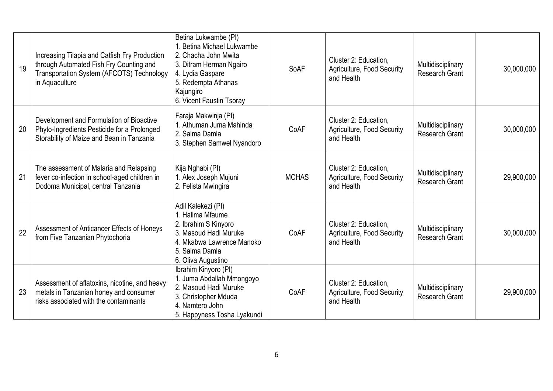| 19 | Increasing Tilapia and Catfish Fry Production<br>through Automated Fish Fry Counting and<br>Transportation System (AFCOTS) Technology<br>in Aquaculture | Betina Lukwambe (PI)<br>1. Betina Michael Lukwambe<br>2. Chacha John Mwita<br>3. Ditram Herman Ngairo<br>4. Lydia Gaspare<br>5. Redempta Athanas<br>Kajungiro<br>6. Vicent Faustin Tsoray | SoAF         | Cluster 2: Education,<br>Agriculture, Food Security<br>and Health | Multidisciplinary<br><b>Research Grant</b> | 30,000,000 |
|----|---------------------------------------------------------------------------------------------------------------------------------------------------------|-------------------------------------------------------------------------------------------------------------------------------------------------------------------------------------------|--------------|-------------------------------------------------------------------|--------------------------------------------|------------|
| 20 | Development and Formulation of Bioactive<br>Phyto-Ingredients Pesticide for a Prolonged<br>Storability of Maize and Bean in Tanzania                    | Faraja Makwinja (PI)<br>1. Athuman Juma Mahinda<br>2. Salma Damla<br>3. Stephen Samwel Nyandoro                                                                                           | CoAF         | Cluster 2: Education.<br>Agriculture, Food Security<br>and Health | Multidisciplinary<br><b>Research Grant</b> | 30,000,000 |
| 21 | The assessment of Malaria and Relapsing<br>fever co-infection in school-aged children in<br>Dodoma Municipal, central Tanzania                          | Kija Nghabi (PI)<br>1. Alex Joseph Mujuni<br>2. Felista Mwingira                                                                                                                          | <b>MCHAS</b> | Cluster 2: Education,<br>Agriculture, Food Security<br>and Health | Multidisciplinary<br><b>Research Grant</b> | 29,900,000 |
| 22 | Assessment of Anticancer Effects of Honeys<br>from Five Tanzanian Phytochoria                                                                           | Adil Kalekezi (PI)<br>1. Halima Mfaume<br>2. Ibrahim S Kinyoro<br>3. Masoud Hadi Muruke<br>4. Mkabwa Lawrence Manoko<br>5. Salma Damla<br>6. Oliva Augustino                              | CoAF         | Cluster 2: Education,<br>Agriculture, Food Security<br>and Health | Multidisciplinary<br><b>Research Grant</b> | 30,000,000 |
| 23 | Assessment of aflatoxins, nicotine, and heavy<br>metals in Tanzanian honey and consumer<br>risks associated with the contaminants                       | Ibrahim Kinyoro (PI)<br>1. Juma Abdallah Mmongoyo<br>2. Masoud Hadi Muruke<br>3. Christopher Mduda<br>4. Namtero John<br>5. Happyness Tosha Lyakundi                                      | CoAF         | Cluster 2: Education,<br>Agriculture, Food Security<br>and Health | Multidisciplinary<br><b>Research Grant</b> | 29,900,000 |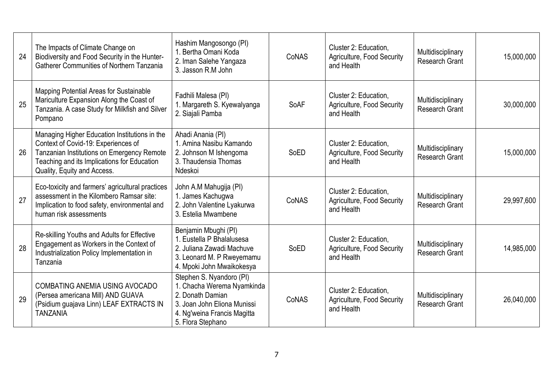| 24 | The Impacts of Climate Change on<br>Biodiversity and Food Security in the Hunter-<br><b>Gatherer Communities of Northern Tanzania</b>                                                                            | Hashim Mangosongo (PI)<br>1. Bertha Omani Koda<br>2. Iman Salehe Yangaza<br>3. Jasson R.M John                                                                | CoNAS | Cluster 2: Education,<br>Agriculture, Food Security<br>and Health | Multidisciplinary<br><b>Research Grant</b> | 15,000,000 |
|----|------------------------------------------------------------------------------------------------------------------------------------------------------------------------------------------------------------------|---------------------------------------------------------------------------------------------------------------------------------------------------------------|-------|-------------------------------------------------------------------|--------------------------------------------|------------|
| 25 | Mapping Potential Areas for Sustainable<br>Mariculture Expansion Along the Coast of<br>Tanzania. A case Study for Milkfish and Silver<br>Pompano                                                                 | Fadhili Malesa (PI)<br>1. Margareth S. Kyewalyanga<br>2. Siajali Pamba                                                                                        | SoAF  | Cluster 2: Education,<br>Agriculture, Food Security<br>and Health | Multidisciplinary<br><b>Research Grant</b> | 30,000,000 |
| 26 | Managing Higher Education Institutions in the<br>Context of Covid-19: Experiences of<br>Tanzanian Institutions on Emergency Remote<br>Teaching and its Implications for Education<br>Quality, Equity and Access. | Ahadi Anania (PI)<br>1. Amina Nasibu Kamando<br>2. Johnson M Ishengoma<br>3. Thaudensia Thomas<br>Ndeskoi                                                     | SoED  | Cluster 2: Education,<br>Agriculture, Food Security<br>and Health | Multidisciplinary<br><b>Research Grant</b> | 15,000,000 |
| 27 | Eco-toxicity and farmers' agricultural practices<br>assessment in the Kilombero Ramsar site:<br>Implication to food safety, environmental and<br>human risk assessments                                          | John A.M Mahugija (PI)<br>1. James Kachugwa<br>2. John Valentine Lyakurwa<br>3. Estelia Mwambene                                                              | CoNAS | Cluster 2: Education,<br>Agriculture, Food Security<br>and Health | Multidisciplinary<br><b>Research Grant</b> | 29,997,600 |
| 28 | Re-skilling Youths and Adults for Effective<br>Engagement as Workers in the Context of<br>Industrialization Policy Implementation in<br>Tanzania                                                                 | Benjamin Mbughi (PI)<br>1. Eustella P Bhalalusesa<br>2. Juliana Zawadi Machuve<br>3. Leonard M. P Rweyemamu<br>4. Mpoki John Mwaikokesya                      | SoED  | Cluster 2: Education,<br>Agriculture, Food Security<br>and Health | Multidisciplinary<br>Research Grant        | 14,985,000 |
| 29 | COMBATING ANEMIA USING AVOCADO<br>(Persea americana Mill) AND GUAVA<br>(Psidium guajava Linn) LEAF EXTRACTS IN<br><b>TANZANIA</b>                                                                                | Stephen S. Nyandoro (PI)<br>1. Chacha Werema Nyamkinda<br>2. Donath Damian<br>3. Joan John Eliona Munissi<br>4. Ng'weina Francis Magitta<br>5. Flora Stephano | CoNAS | Cluster 2: Education,<br>Agriculture, Food Security<br>and Health | Multidisciplinary<br><b>Research Grant</b> | 26,040,000 |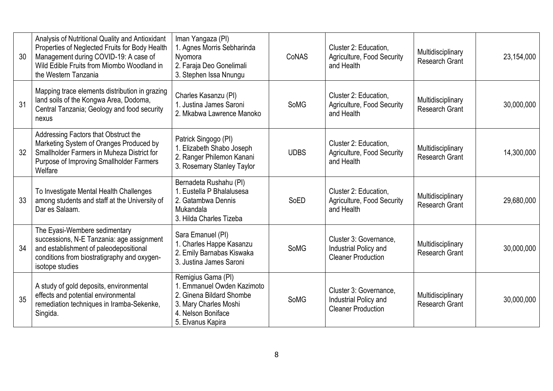| 30 | Analysis of Nutritional Quality and Antioxidant<br>Properties of Neglected Fruits for Body Health<br>Management during COVID-19: A case of<br>Wild Edible Fruits from Miombo Woodland in<br>the Western Tanzania | Iman Yangaza (PI)<br>1. Agnes Morris Sebharinda<br>Nyomora<br>2. Faraja Deo Gonelimali<br>3. Stephen Issa Nnungu                                 | CoNAS       | Cluster 2: Education,<br>Agriculture, Food Security<br>and Health            | Multidisciplinary<br><b>Research Grant</b> | 23,154,000 |
|----|------------------------------------------------------------------------------------------------------------------------------------------------------------------------------------------------------------------|--------------------------------------------------------------------------------------------------------------------------------------------------|-------------|------------------------------------------------------------------------------|--------------------------------------------|------------|
| 31 | Mapping trace elements distribution in grazing<br>land soils of the Kongwa Area, Dodoma,<br>Central Tanzania; Geology and food security<br>nexus                                                                 | Charles Kasanzu (PI)<br>1. Justina James Saroni<br>2. Mkabwa Lawrence Manoko                                                                     | <b>SoMG</b> | Cluster 2: Education,<br>Agriculture, Food Security<br>and Health            | Multidisciplinary<br><b>Research Grant</b> | 30,000,000 |
| 32 | Addressing Factors that Obstruct the<br>Marketing System of Oranges Produced by<br>Smallholder Farmers in Muheza District for<br>Purpose of Improving Smallholder Farmers<br>Welfare                             | Patrick Singogo (PI)<br>1. Elizabeth Shabo Joseph<br>2. Ranger Philemon Kanani<br>3. Rosemary Stanley Taylor                                     | <b>UDBS</b> | Cluster 2: Education,<br>Agriculture, Food Security<br>and Health            | Multidisciplinary<br><b>Research Grant</b> | 14,300,000 |
| 33 | To Investigate Mental Health Challenges<br>among students and staff at the University of<br>Dar es Salaam.                                                                                                       | Bernadeta Rushahu (PI)<br>1. Eustella P Bhalalusesa<br>2. Gatambwa Dennis<br>Mukandala<br>3. Hilda Charles Tizeba                                | SoED        | Cluster 2: Education,<br>Agriculture, Food Security<br>and Health            | Multidisciplinary<br><b>Research Grant</b> | 29,680,000 |
| 34 | The Eyasi-Wembere sedimentary<br>successions, N-E Tanzania: age assignment<br>and establishment of paleodepositional<br>conditions from biostratigraphy and oxygen-<br>isotope studies                           | Sara Emanuel (PI)<br>1. Charles Happe Kasanzu<br>2. Emily Barnabas Kiswaka<br>3. Justina James Saroni                                            | <b>SoMG</b> | Cluster 3: Governance,<br>Industrial Policy and<br><b>Cleaner Production</b> | Multidisciplinary<br><b>Research Grant</b> | 30,000,000 |
| 35 | A study of gold deposits, environmental<br>effects and potential environmental<br>remediation techniques in Iramba-Sekenke,<br>Singida.                                                                          | Remigius Gama (PI)<br>1. Emmanuel Owden Kazimoto<br>2. Ginena Bildard Shombe<br>3. Mary Charles Moshi<br>4. Nelson Boniface<br>5. Elvanus Kapira | <b>SoMG</b> | Cluster 3: Governance,<br>Industrial Policy and<br><b>Cleaner Production</b> | Multidisciplinary<br><b>Research Grant</b> | 30,000,000 |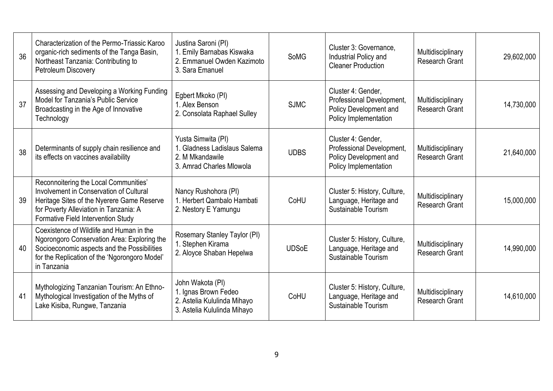| 36 | Characterization of the Permo-Triassic Karoo<br>organic-rich sediments of the Tanga Basin,<br>Northeast Tanzania: Contributing to<br>Petroleum Discovery                                                       | Justina Saroni (PI)<br>1. Emily Barnabas Kiswaka<br>2. Emmanuel Owden Kazimoto<br>3. Sara Emanuel      | <b>SoMG</b>  | Cluster 3: Governance,<br>Industrial Policy and<br><b>Cleaner Production</b>                       | Multidisciplinary<br><b>Research Grant</b> | 29,602,000 |
|----|----------------------------------------------------------------------------------------------------------------------------------------------------------------------------------------------------------------|--------------------------------------------------------------------------------------------------------|--------------|----------------------------------------------------------------------------------------------------|--------------------------------------------|------------|
| 37 | Assessing and Developing a Working Funding<br>Model for Tanzania's Public Service<br>Broadcasting in the Age of Innovative<br>Technology                                                                       | Egbert Mkoko (PI)<br>1. Alex Benson<br>2. Consolata Raphael Sulley                                     | <b>SJMC</b>  | Cluster 4: Gender,<br>Professional Development,<br>Policy Development and<br>Policy Implementation | Multidisciplinary<br><b>Research Grant</b> | 14,730,000 |
| 38 | Determinants of supply chain resilience and<br>its effects on vaccines availability                                                                                                                            | Yusta Simwita (PI)<br>1. Gladness Ladislaus Salema<br>2. M Mkandawile<br>3. Amrad Charles Mlowola      | <b>UDBS</b>  | Cluster 4: Gender,<br>Professional Development,<br>Policy Development and<br>Policy Implementation | Multidisciplinary<br><b>Research Grant</b> | 21,640,000 |
| 39 | Reconnoitering the Local Communities'<br>Involvement in Conservation of Cultural<br>Heritage Sites of the Nyerere Game Reserve<br>for Poverty Alleviation in Tanzania: A<br>Formative Field Intervention Study | Nancy Rushohora (PI)<br>1. Herbert Qambalo Hambati<br>2. Nestory E Yamungu                             | CoHU         | Cluster 5: History, Culture,<br>Language, Heritage and<br>Sustainable Tourism                      | Multidisciplinary<br><b>Research Grant</b> | 15,000,000 |
| 40 | Coexistence of Wildlife and Human in the<br>Ngorongoro Conservation Area: Exploring the<br>Socioeconomic aspects and the Possibilities<br>for the Replication of the 'Ngorongoro Model'<br>in Tanzania         | Rosemary Stanley Taylor (PI)<br>1. Stephen Kirama<br>2. Aloyce Shaban Hepelwa                          | <b>UDSoE</b> | Cluster 5: History, Culture,<br>Language, Heritage and<br>Sustainable Tourism                      | Multidisciplinary<br>Research Grant        | 14,990,000 |
| 41 | Mythologizing Tanzanian Tourism: An Ethno-<br>Mythological Investigation of the Myths of<br>Lake Kisiba, Rungwe, Tanzania                                                                                      | John Wakota (PI)<br>1. Ignas Brown Fedeo<br>2. Astelia Kululinda Mihayo<br>3. Astelia Kululinda Mihayo | CoHU         | Cluster 5: History, Culture,<br>Language, Heritage and<br>Sustainable Tourism                      | Multidisciplinary<br><b>Research Grant</b> | 14,610,000 |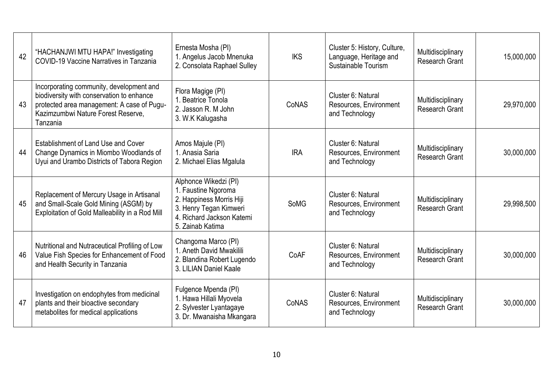| 42 | "HACHANJWI MTU HAPA!" Investigating<br><b>COVID-19 Vaccine Narratives in Tanzania</b>                                                                                                 | Ernesta Mosha (PI)<br>1. Angelus Jacob Mnenuka<br>2. Consolata Raphael Sulley                                                                       | <b>IKS</b>  | Cluster 5: History, Culture,<br>Language, Heritage and<br>Sustainable Tourism | Multidisciplinary<br><b>Research Grant</b> | 15,000,000 |
|----|---------------------------------------------------------------------------------------------------------------------------------------------------------------------------------------|-----------------------------------------------------------------------------------------------------------------------------------------------------|-------------|-------------------------------------------------------------------------------|--------------------------------------------|------------|
| 43 | Incorporating community, development and<br>biodiversity with conservation to enhance<br>protected area management: A case of Pugu-<br>Kazimzumbwi Nature Forest Reserve,<br>Tanzania | Flora Magige (PI)<br>1. Beatrice Tonola<br>2. Jasson R. M John<br>3. W.K Kalugasha                                                                  | CoNAS       | Cluster 6: Natural<br>Resources, Environment<br>and Technology                | Multidisciplinary<br><b>Research Grant</b> | 29,970,000 |
| 44 | Establishment of Land Use and Cover<br>Change Dynamics in Miombo Woodlands of<br>Uyui and Urambo Districts of Tabora Region                                                           | Amos Majule (PI)<br>1. Anasia Saria<br>2. Michael Elias Mgalula                                                                                     | <b>IRA</b>  | Cluster 6: Natural<br>Resources, Environment<br>and Technology                | Multidisciplinary<br><b>Research Grant</b> | 30,000,000 |
| 45 | Replacement of Mercury Usage in Artisanal<br>and Small-Scale Gold Mining (ASGM) by<br>Exploitation of Gold Malleability in a Rod Mill                                                 | Alphonce Wikedzi (PI)<br>1. Faustine Ngoroma<br>2. Happiness Morris Hiji<br>3. Henry Tegan Kimweri<br>4. Richard Jackson Katemi<br>5. Zainab Katima | <b>SoMG</b> | Cluster 6: Natural<br>Resources, Environment<br>and Technology                | Multidisciplinary<br><b>Research Grant</b> | 29,998,500 |
| 46 | Nutritional and Nutraceutical Profiling of Low<br>Value Fish Species for Enhancement of Food<br>and Health Security in Tanzania                                                       | Changoma Marco (PI)<br>1. Aneth David Mwakilili<br>2. Blandina Robert Lugendo<br>3. LILIAN Daniel Kaale                                             | CoAF        | Cluster 6: Natural<br>Resources, Environment<br>and Technology                | Multidisciplinary<br><b>Research Grant</b> | 30,000,000 |
| 47 | Investigation on endophytes from medicinal<br>plants and their bioactive secondary<br>metabolites for medical applications                                                            | Fulgence Mpenda (PI)<br>1. Hawa Hillali Myovela<br>2. Sylvester Lyantagaye<br>3. Dr. Mwanaisha Mkangara                                             | CoNAS       | Cluster 6: Natural<br>Resources, Environment<br>and Technology                | Multidisciplinary<br><b>Research Grant</b> | 30,000,000 |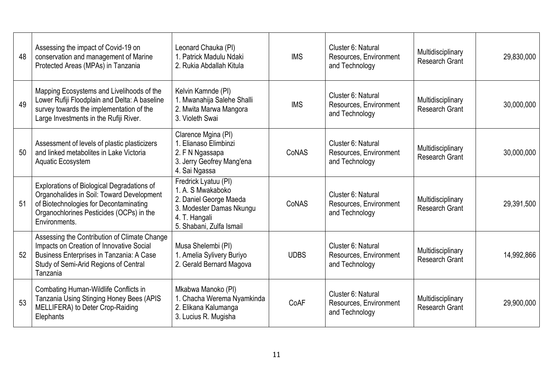| 48 | Assessing the impact of Covid-19 on<br>conservation and management of Marine<br>Protected Areas (MPAs) in Tanzania                                                                             | Leonard Chauka (PI)<br>1. Patrick Madulu Ndaki<br>2. Rukia Abdallah Kitula                                                                   | <b>IMS</b>  | Cluster 6: Natural<br>Resources, Environment<br>and Technology                                               | Multidisciplinary<br><b>Research Grant</b> | 29,830,000 |
|----|------------------------------------------------------------------------------------------------------------------------------------------------------------------------------------------------|----------------------------------------------------------------------------------------------------------------------------------------------|-------------|--------------------------------------------------------------------------------------------------------------|--------------------------------------------|------------|
| 49 | Mapping Ecosystems and Livelihoods of the<br>Lower Rufiji Floodplain and Delta: A baseline<br>survey towards the implementation of the<br>Large Investments in the Rufiji River.               | Kelvin Kamnde (PI)<br>1. Mwanahija Salehe Shalli<br>2. Mwita Marwa Mangora<br>3. Violeth Swai                                                | <b>IMS</b>  | Cluster 6: Natural<br>Multidisciplinary<br>Resources, Environment<br><b>Research Grant</b><br>and Technology |                                            | 30,000,000 |
| 50 | Assessment of levels of plastic plasticizers<br>and linked metabolites in Lake Victoria<br>Aquatic Ecosystem                                                                                   | Clarence Mgina (PI)<br>1. Elianaso Elimbinzi<br>2. F N Ngassapa<br>3. Jerry Geofrey Mang'ena<br>4. Sai Ngassa                                | CoNAS       | Cluster 6: Natural<br>Resources, Environment<br>and Technology                                               | Multidisciplinary<br><b>Research Grant</b> | 30,000,000 |
| 51 | Explorations of Biological Degradations of<br>Organohalides in Soil: Toward Development<br>of Biotechnologies for Decontaminating<br>Organochlorines Pesticides (OCPs) in the<br>Environments. | Fredrick Lyatuu (PI)<br>1. A. S Mwakaboko<br>2. Daniel George Maeda<br>3. Modester Damas Nkungu<br>4. T. Hangali<br>5. Shabani, Zulfa Ismail | CoNAS       | Cluster 6: Natural<br>Resources, Environment<br>and Technology                                               | Multidisciplinary<br><b>Research Grant</b> | 29,391,500 |
| 52 | Assessing the Contribution of Climate Change<br>Impacts on Creation of Innovative Social<br>Business Enterprises in Tanzania: A Case<br>Study of Semi-Arid Regions of Central<br>Tanzania      | Musa Shelembi (PI)<br>1. Amelia Sylivery Buriyo<br>2. Gerald Bernard Magova                                                                  | <b>UDBS</b> | Cluster 6: Natural<br>Resources, Environment<br>and Technology                                               | Multidisciplinary<br><b>Research Grant</b> | 14,992,866 |
| 53 | Combating Human-Wildlife Conflicts in<br>Tanzania Using Stinging Honey Bees (APIS<br>MELLIFERA) to Deter Crop-Raiding<br>Elephants                                                             | Mkabwa Manoko (PI)<br>1. Chacha Werema Nyamkinda<br>2. Elikana Kalumanga<br>3. Lucius R. Mugisha                                             | CoAF        | Cluster 6: Natural<br>Resources, Environment<br>and Technology                                               | Multidisciplinary<br><b>Research Grant</b> | 29,900,000 |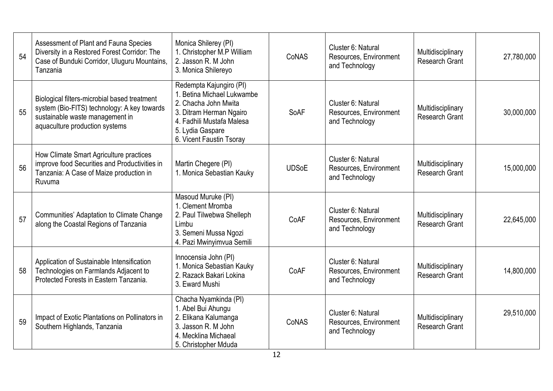| 54 | Assessment of Plant and Fauna Species<br>Diversity in a Restored Forest Corridor: The<br>Case of Bunduki Corridor, Uluguru Mountains,<br>Tanzania                | Monica Shilerey (PI)<br>1. Christopher M.P William<br>2. Jasson R. M John<br>3. Monica Shilereyo                                                                                      | CoNAS        | Cluster 6: Natural<br>Resources, Environment<br>and Technology | Multidisciplinary<br><b>Research Grant</b> | 27,780,000 |
|----|------------------------------------------------------------------------------------------------------------------------------------------------------------------|---------------------------------------------------------------------------------------------------------------------------------------------------------------------------------------|--------------|----------------------------------------------------------------|--------------------------------------------|------------|
| 55 | Biological filters-microbial based treatment<br>system (Bio-FITS) technology: A key towards<br>sustainable waste management in<br>aquaculture production systems | Redempta Kajungiro (PI)<br>1. Betina Michael Lukwambe<br>2. Chacha John Mwita<br>3. Ditram Herman Ngairo<br>4. Fadhili Mustafa Malesa<br>5. Lydia Gaspare<br>6. Vicent Faustin Tsoray | SoAF         | Cluster 6: Natural<br>Resources, Environment<br>and Technology | Multidisciplinary<br><b>Research Grant</b> | 30,000,000 |
| 56 | How Climate Smart Agriculture practices<br>improve food Securities and Productivities in<br>Tanzania: A Case of Maize production in<br>Ruvuma                    | Martin Chegere (PI)<br>1. Monica Sebastian Kauky                                                                                                                                      | <b>UDSoE</b> | Cluster 6: Natural<br>Resources, Environment<br>and Technology | Multidisciplinary<br><b>Research Grant</b> | 15,000,000 |
| 57 | Communities' Adaptation to Climate Change<br>along the Coastal Regions of Tanzania                                                                               | Masoud Muruke (PI)<br>1. Clement Mromba<br>2. Paul Tilwebwa Shelleph<br>Limbu<br>3. Semeni Mussa Ngozi<br>4. Pazi Mwinyimvua Semili                                                   | CoAF         | Cluster 6: Natural<br>Resources, Environment<br>and Technology | Multidisciplinary<br><b>Research Grant</b> | 22,645,000 |
| 58 | Application of Sustainable Intensification<br>Technologies on Farmlands Adjacent to<br>Protected Forests in Eastern Tanzania.                                    | Innocensia John (PI)<br>1. Monica Sebastian Kauky<br>2. Razack Bakari Lokina<br>3. Eward Mushi                                                                                        | CoAF         | Cluster 6: Natural<br>Resources, Environment<br>and Technology |                                            | 14,800,000 |
| 59 | Impact of Exotic Plantations on Pollinators in<br>Southern Highlands, Tanzania                                                                                   | Chacha Nyamkinda (PI)<br>1. Abel Bui Ahungu<br>2. Elikana Kalumanga<br>3. Jasson R. M John<br>4. Mecklina Michaeal<br>5. Christopher Mduda                                            | CoNAS        | Cluster 6: Natural<br>Resources, Environment<br>and Technology | Multidisciplinary<br><b>Research Grant</b> | 29,510,000 |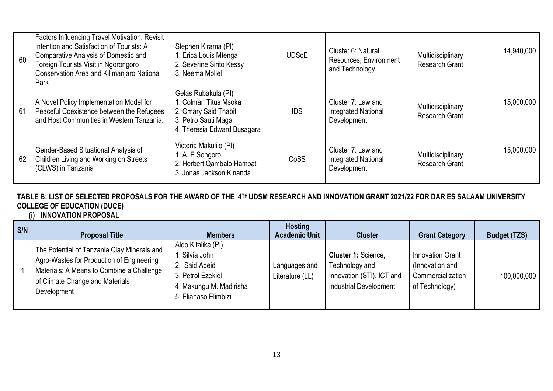| 60 | Factors Influencing Travel Motivation, Revisit<br>Intention and Satisfaction of Tourists: A<br><b>Comparative Analysis of Domestic and</b><br>Foreign Tourists Visit in Ngorongoro<br>Conservation Area and Kilimanjaro National<br>Park | Stephen Kirama (PI)<br>1. Erica Louis Mtenga<br>2. Severine Sirito Kessy<br>3. Neema Mollel                                 | <b>UDSoE</b> | Cluster 6: Natural<br>Resources, Environment<br>and Technology  | Multidisciplinary<br><b>Research Grant</b> | 14,940,000 |
|----|------------------------------------------------------------------------------------------------------------------------------------------------------------------------------------------------------------------------------------------|-----------------------------------------------------------------------------------------------------------------------------|--------------|-----------------------------------------------------------------|--------------------------------------------|------------|
| 61 | A Novel Policy Implementation Model for<br>Peaceful Coexistence between the Refugees<br>and Host Communities in Western Tanzania.                                                                                                        | Gelas Rubakula (PI)<br>1. Colman Titus Msoka<br>2. Omary Said Thabit<br>3. Petro Sauti Magai<br>4. Theresia Edward Busagara | <b>IDS</b>   | Cluster 7: Law and<br><b>Integrated National</b><br>Development | Multidisciplinary<br><b>Research Grant</b> | 15,000,000 |
| 62 | Gender-Based Situational Analysis of<br>Children Living and Working on Streets<br>(CLWS) in Tanzania                                                                                                                                     | Victoria Makulilo (PI)<br>1. A. E Songoro<br>2. Herbert Qambalo Hambati<br>3. Jonas Jackson Kinanda                         | CoSS         | Cluster 7: Law and<br><b>Integrated National</b><br>Development | Multidisciplinary<br><b>Research Grant</b> | 15,000,000 |

## **TABLE B: LIST OF SELECTED PROPOSALS FOR THE AWARD OF THE 4TH UDSM RESEARCH AND INNOVATION GRANT 2021/22 FOR DAR ES SALAAM UNIVERSITY COLLEGE OF EDUCATION (DUCE)**

### **(i) INNOVATION PROPOSAL**

| S/N | <b>Proposal Title</b>                                                                                                                                                                   | <b>Members</b>                                                                                                               | <b>Hosting</b><br><b>Academic Unit</b> | <b>Cluster</b>                                                                                      | <b>Grant Category</b>                                                             | <b>Budget (TZS)</b> |
|-----|-----------------------------------------------------------------------------------------------------------------------------------------------------------------------------------------|------------------------------------------------------------------------------------------------------------------------------|----------------------------------------|-----------------------------------------------------------------------------------------------------|-----------------------------------------------------------------------------------|---------------------|
|     | The Potential of Tanzania Clay Minerals and<br>Agro-Wastes for Production of Engineering<br>Materials: A Means to Combine a Challenge<br>of Climate Change and Materials<br>Development | Aldo Kitalika (PI)<br>. Silvia John<br>2. Said Abeid<br>3. Petrol Ezekiel<br>4. Makungu M. Madirisha<br>5. Elianaso Elimbizi | Languages and<br>Literature (LL)       | Cluster 1: Science,<br>Technology and<br>Innovation (STI), ICT and<br><b>Industrial Development</b> | <b>Innovation Grant</b><br>(Innovation and<br>Commercialization<br>of Technology) | 100,000,000         |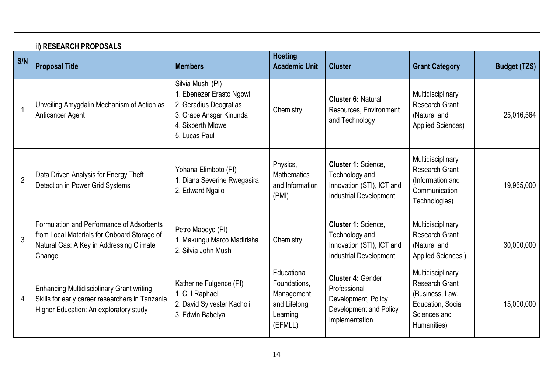|                | <b>ii) RESEARCH PROPOSALS</b>                                                                                                                  |                                                                                                                                         |                                                                                  |                                                                                                       |                                                                                                                   |                     |  |  |
|----------------|------------------------------------------------------------------------------------------------------------------------------------------------|-----------------------------------------------------------------------------------------------------------------------------------------|----------------------------------------------------------------------------------|-------------------------------------------------------------------------------------------------------|-------------------------------------------------------------------------------------------------------------------|---------------------|--|--|
| S/N            | <b>Proposal Title</b>                                                                                                                          | <b>Members</b>                                                                                                                          | <b>Hosting</b><br><b>Academic Unit</b>                                           | <b>Cluster</b>                                                                                        | <b>Grant Category</b>                                                                                             | <b>Budget (TZS)</b> |  |  |
|                | Unveiling Amygdalin Mechanism of Action as<br>Anticancer Agent                                                                                 | Silvia Mushi (PI)<br>. Ebenezer Erasto Ngowi<br>2. Geradius Deogratias<br>3. Grace Ansgar Kinunda<br>4. Sixberth Mlowe<br>5. Lucas Paul | Chemistry                                                                        | <b>Cluster 6: Natural</b><br>Resources, Environment<br>and Technology                                 | Multidisciplinary<br><b>Research Grant</b><br>(Natural and<br><b>Applied Sciences)</b>                            | 25,016,564          |  |  |
| $\overline{2}$ | Data Driven Analysis for Energy Theft<br>Detection in Power Grid Systems                                                                       | Yohana Elimboto (PI)<br>1. Diana Severine Rwegasira<br>2. Edward Ngailo                                                                 | Physics,<br><b>Mathematics</b><br>and Information<br>(PMI)                       | Cluster 1: Science,<br>Technology and<br>Innovation (STI), ICT and<br><b>Industrial Development</b>   | Multidisciplinary<br><b>Research Grant</b><br>(Information and<br>Communication<br>Technologies)                  | 19,965,000          |  |  |
| 3              | Formulation and Performance of Adsorbents<br>from Local Materials for Onboard Storage of<br>Natural Gas: A Key in Addressing Climate<br>Change | Petro Mabeyo (PI)<br>1. Makungu Marco Madirisha<br>2. Silvia John Mushi                                                                 | Chemistry                                                                        | Cluster 1: Science,<br>Technology and<br>Innovation (STI), ICT and<br><b>Industrial Development</b>   | Multidisciplinary<br><b>Research Grant</b><br>(Natural and<br>Applied Sciences)                                   | 30,000,000          |  |  |
| 4              | <b>Enhancing Multidisciplinary Grant writing</b><br>Skills for early career researchers in Tanzania<br>Higher Education: An exploratory study  | Katherine Fulgence (PI)<br>1. C. I Raphael<br>2. David Sylvester Kacholi<br>3. Edwin Babeiya                                            | Educational<br>Foundations,<br>Management<br>and Lifelong<br>Learning<br>(EFMLL) | Cluster 4: Gender,<br>Professional<br>Development, Policy<br>Development and Policy<br>Implementation | Multidisciplinary<br><b>Research Grant</b><br>(Business, Law,<br>Education, Social<br>Sciences and<br>Humanities) | 15,000,000          |  |  |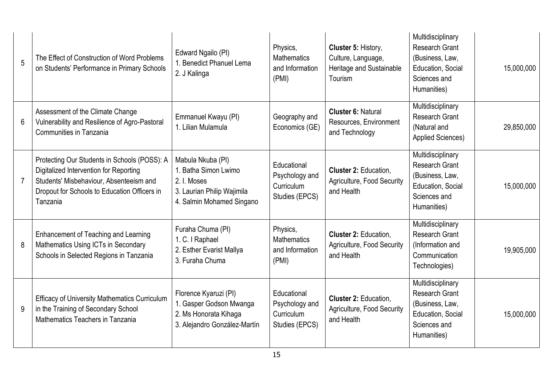| 5               | The Effect of Construction of Word Problems<br>on Students' Performance in Primary Schools                                                                                                    | Edward Ngailo (PI)<br>1. Benedict Phanuel Lema<br>2. J Kalinga                                                      | Physics,<br><b>Mathematics</b><br>and Information<br>(PMI)    | Cluster 5: History,<br>Culture, Language,<br>Heritage and Sustainable<br>Tourism                                                                                | Multidisciplinary<br><b>Research Grant</b><br>(Business, Law,<br>Education, Social<br>Sciences and<br>Humanities) | 15,000,000 |
|-----------------|-----------------------------------------------------------------------------------------------------------------------------------------------------------------------------------------------|---------------------------------------------------------------------------------------------------------------------|---------------------------------------------------------------|-----------------------------------------------------------------------------------------------------------------------------------------------------------------|-------------------------------------------------------------------------------------------------------------------|------------|
| $6\phantom{1}6$ | Assessment of the Climate Change<br>Vulnerability and Resilience of Agro-Pastoral<br>Communities in Tanzania                                                                                  | Emmanuel Kwayu (PI)<br>1. Lilian Mulamula                                                                           | Geography and<br>Economics (GE)                               | Multidisciplinary<br><b>Cluster 6: Natural</b><br><b>Research Grant</b><br>Resources, Environment<br>(Natural and<br>and Technology<br><b>Applied Sciences)</b> |                                                                                                                   | 29,850,000 |
| 7               | Protecting Our Students in Schools (POSS): A<br>Digitalized Intervention for Reporting<br>Students' Misbehaviour, Absenteeism and<br>Dropout for Schools to Education Officers in<br>Tanzania | Mabula Nkuba (PI)<br>1. Batha Simon Lwimo<br>2. I. Moses<br>3. Laurian Philip Wajimila<br>4. Salmin Mohamed Singano | Educational<br>Psychology and<br>Curriculum<br>Studies (EPCS) | Cluster 2: Education,<br>Agriculture, Food Security<br>and Health                                                                                               | Multidisciplinary<br><b>Research Grant</b><br>(Business, Law,<br>Education, Social<br>Sciences and<br>Humanities) | 15,000,000 |
| 8               | Enhancement of Teaching and Learning<br>Mathematics Using ICTs in Secondary<br>Schools in Selected Regions in Tanzania                                                                        | Furaha Chuma (PI)<br>1. C. I Raphael<br>2. Esther Evarist Mallya<br>3. Furaha Chuma                                 | Physics,<br><b>Mathematics</b><br>and Information<br>(PMI)    | <b>Cluster 2: Education.</b><br>Agriculture, Food Security<br>and Health                                                                                        | Multidisciplinary<br><b>Research Grant</b><br>(Information and<br>Communication<br>Technologies)                  | 19,905,000 |
| 9               | <b>Efficacy of University Mathematics Curriculum</b><br>in the Training of Secondary School<br>Mathematics Teachers in Tanzania                                                               | Florence Kyaruzi (PI)<br>1. Gasper Godson Mwanga<br>2. Ms Honorata Kihaga<br>3. Alejandro González-Martín           | Educational<br>Psychology and<br>Curriculum<br>Studies (EPCS) | <b>Cluster 2: Education,</b><br>Agriculture, Food Security<br>and Health                                                                                        | Multidisciplinary<br><b>Research Grant</b><br>(Business, Law,<br>Education, Social<br>Sciences and<br>Humanities) | 15,000,000 |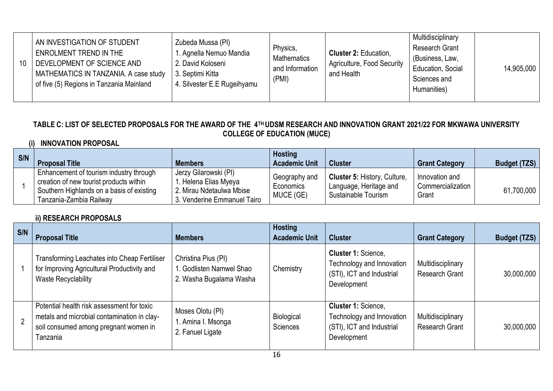| AN INVESTIGATION OF STUDENT<br>ENROLMENT TREND IN THE<br>DEVELOPMENT OF SCIENCE AND<br>10<br>MATHEMATICS IN TANZANIA. A case study<br>of five (5) Regions in Tanzania Mainland | Zubeda Mussa (PI)<br>1. Agnella Nemuo Mandia<br>2. David Koloseni<br>3. Septimi Kitta<br>4. Silvester E.E Rugeihyamu | Physics,<br>Mathematics<br>and Information<br>(PMI) | <b>Cluster 2: Education,</b><br><b>Agriculture, Food Security</b><br>and Health | Multidisciplinary<br>Research Grant<br>(Business, Law,<br>Education, Social<br>Sciences and<br>Humanities) | 14,905,000 |
|--------------------------------------------------------------------------------------------------------------------------------------------------------------------------------|----------------------------------------------------------------------------------------------------------------------|-----------------------------------------------------|---------------------------------------------------------------------------------|------------------------------------------------------------------------------------------------------------|------------|
|--------------------------------------------------------------------------------------------------------------------------------------------------------------------------------|----------------------------------------------------------------------------------------------------------------------|-----------------------------------------------------|---------------------------------------------------------------------------------|------------------------------------------------------------------------------------------------------------|------------|

#### **TABLE C: LIST OF SELECTED PROPOSALS FOR THE AWARD OF THE 4TH UDSM RESEARCH AND INNOVATION GRANT 2021/22 FOR MKWAWA UNIVERSITY COLLEGE OF EDUCATION (MUCE)**

### **(i) INNOVATION PROPOSAL**

| S/N | <b>Proposal Title</b>                                                                                                                                      | <b>Members</b>                                                                                           | <b>Hosting</b><br><b>Academic Unit</b>  | <b>Cluster</b>                                                                       | <b>Grant Category</b>                        | <b>Budget (TZS)</b> |
|-----|------------------------------------------------------------------------------------------------------------------------------------------------------------|----------------------------------------------------------------------------------------------------------|-----------------------------------------|--------------------------------------------------------------------------------------|----------------------------------------------|---------------------|
|     | Enhancement of tourism industry through<br>creation of new tourist products within<br>Southern Highlands on a basis of existing<br>Tanzania-Zambia Railway | Jerzy Gilarowski (PI)<br>. Helena Elias Myeya<br>2. Mirau Ndetaulwa Mbise<br>3. Venderine Emmanuel Tairo | Geography and<br>Economics<br>MUCE (GE) | <b>Cluster 5: History, Culture,</b><br>Language, Heritage and<br>Sustainable Tourism | Innovation and<br>Commercialization<br>Grant | 61,700,000          |

#### **ii) RESEARCH PROPOSALS**

| S/N            | <b>Proposal Title</b>                                                                                                                          | <b>Members</b>                                                             | <b>Hosting</b><br><b>Academic Unit</b> | <b>Cluster</b>                                                                               | <b>Grant Category</b>                      | <b>Budget (TZS)</b> |
|----------------|------------------------------------------------------------------------------------------------------------------------------------------------|----------------------------------------------------------------------------|----------------------------------------|----------------------------------------------------------------------------------------------|--------------------------------------------|---------------------|
|                | Transforming Leachates into Cheap Fertiliser<br>for Improving Agricultural Productivity and<br>Waste Recyclability                             | Christina Pius (PI)<br>1. Godlisten Namwel Shao<br>2. Washa Bugalama Washa | Chemistry                              | Cluster 1: Science,<br>Technology and Innovation<br>(STI), ICT and Industrial<br>Development | Multidisciplinary<br><b>Research Grant</b> | 30,000,000          |
| $\overline{2}$ | Potential health risk assessment for toxic<br>metals and microbial contamination in clay-<br>soil consumed among pregnant women in<br>Tanzania | Moses Olotu (PI)<br>1. Amina I. Msonga<br>2. Fanuel Ligate                 | Biological<br>Sciences                 | Cluster 1: Science,<br>Technology and Innovation<br>(STI), ICT and Industrial<br>Development | Multidisciplinary<br><b>Research Grant</b> | 30,000,000          |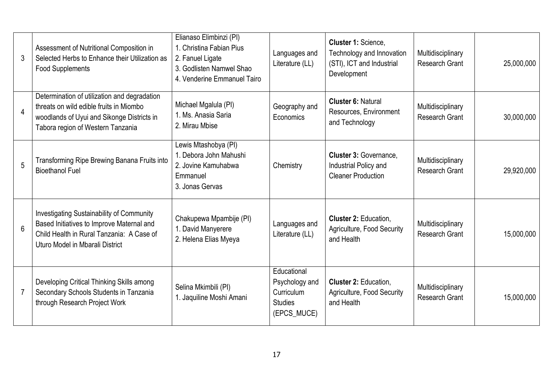| 3               | Assessment of Nutritional Composition in<br>Selected Herbs to Enhance their Utilization as<br><b>Food Supplements</b>                                                         | Elianaso Elimbinzi (PI)<br>1. Christina Fabian Pius<br>2. Fanuel Ligate<br>3. Godlisten Namwel Shao<br>4. Venderine Emmanuel Tairo | Languages and<br>Literature (LL)                                                                    | Cluster 1: Science,<br>Technology and Innovation<br>(STI), ICT and Industrial<br>Development | Multidisciplinary<br><b>Research Grant</b> | 25,000,000 |
|-----------------|-------------------------------------------------------------------------------------------------------------------------------------------------------------------------------|------------------------------------------------------------------------------------------------------------------------------------|-----------------------------------------------------------------------------------------------------|----------------------------------------------------------------------------------------------|--------------------------------------------|------------|
| $\overline{4}$  | Determination of utilization and degradation<br>threats on wild edible fruits in Miombo<br>woodlands of Uyui and Sikonge Districts in<br>Tabora region of Western Tanzania    | Michael Mgalula (PI)<br>1. Ms. Anasia Saria<br>2. Mirau Mbise                                                                      | <b>Cluster 6: Natural</b><br>Geography and<br>Resources, Environment<br>Economics<br>and Technology |                                                                                              | Multidisciplinary<br><b>Research Grant</b> | 30,000,000 |
| 5               | Transforming Ripe Brewing Banana Fruits into<br><b>Bioethanol Fuel</b>                                                                                                        | Lewis Mtashobya (PI)<br>1. Debora John Mahushi<br>2. Jovine Kamuhabwa<br>Emmanuel<br>3. Jonas Gervas                               | Chemistry                                                                                           | <b>Cluster 3: Governance,</b><br>Industrial Policy and<br><b>Cleaner Production</b>          |                                            | 29,920,000 |
| $6\phantom{1}6$ | <b>Investigating Sustainability of Community</b><br>Based Initiatives to Improve Maternal and<br>Child Health in Rural Tanzania: A Case of<br>Uturo Model in Mbarali District | Chakupewa Mpambije (PI)<br>1. David Manyerere<br>2. Helena Elias Myeya                                                             | Languages and<br>Literature (LL)                                                                    | Cluster 2: Education,<br>Agriculture, Food Security<br>and Health                            |                                            | 15,000,000 |
| $\overline{7}$  | Developing Critical Thinking Skills among<br>Secondary Schools Students in Tanzania<br>through Research Project Work                                                          | Selina Mkimbili (PI)<br>1. Jaquiline Moshi Amani                                                                                   | Educational<br>Psychology and<br>Curriculum<br><b>Studies</b><br>(EPCS_MUCE)                        | Cluster 2: Education,<br>Agriculture, Food Security<br>and Health                            | Multidisciplinary<br><b>Research Grant</b> | 15,000,000 |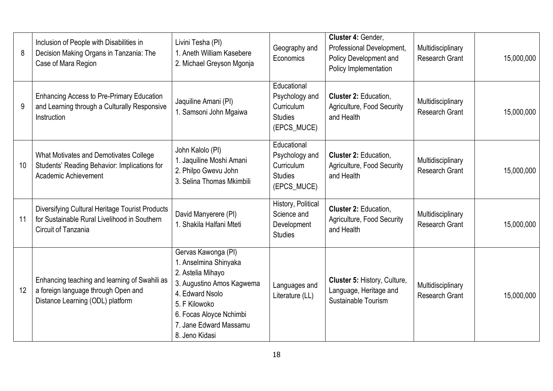| 8  | Inclusion of People with Disabilities in<br>Decision Making Organs in Tanzania: The<br>Case of Mara Region                    | Livini Tesha (PI)<br>1. Aneth William Kasebere<br>2. Michael Greyson Mgonja                                                                                                                               | Geography and<br>Economics                                                   | Cluster 4: Gender,<br>Professional Development,<br>Policy Development and<br>Policy Implementation              | Multidisciplinary<br><b>Research Grant</b> | 15,000,000 |
|----|-------------------------------------------------------------------------------------------------------------------------------|-----------------------------------------------------------------------------------------------------------------------------------------------------------------------------------------------------------|------------------------------------------------------------------------------|-----------------------------------------------------------------------------------------------------------------|--------------------------------------------|------------|
| 9  | <b>Enhancing Access to Pre-Primary Education</b><br>and Learning through a Culturally Responsive<br>Instruction               | Jaquiline Amani (PI)<br>1. Samsoni John Mgaiwa                                                                                                                                                            | Educational<br>Psychology and<br>Curriculum<br><b>Studies</b><br>(EPCS_MUCE) | Cluster 2: Education,<br>Multidisciplinary<br>Agriculture, Food Security<br><b>Research Grant</b><br>and Health |                                            | 15,000,000 |
| 10 | What Motivates and Demotivates College<br>Students' Reading Behavior: Implications for<br>Academic Achievement                | John Kalolo (PI)<br>1. Jaquiline Moshi Amani<br>2. Philpo Gwevu John<br>3. Selina Thomas Mkimbili                                                                                                         | Educational<br>Psychology and<br>Curriculum<br><b>Studies</b><br>(EPCS_MUCE) | Cluster 2: Education,<br>Multidisciplinary<br>Agriculture, Food Security<br><b>Research Grant</b><br>and Health |                                            | 15,000,000 |
| 11 | Diversifying Cultural Heritage Tourist Products<br>for Sustainable Rural Livelihood in Southern<br><b>Circuit of Tanzania</b> | David Manyerere (PI)<br>1. Shakila Halfani Mteti                                                                                                                                                          | History, Political<br>Science and<br>Development<br><b>Studies</b>           | Cluster 2: Education,<br>Agriculture, Food Security<br>and Health                                               |                                            | 15,000,000 |
| 12 | Enhancing teaching and learning of Swahili as<br>a foreign language through Open and<br>Distance Learning (ODL) platform      | Gervas Kawonga (PI)<br>1. Anselmina Shinyaka<br>2. Astelia Mihayo<br>3. Augustino Amos Kagwema<br>4. Edward Nsolo<br>5. F Kilowoko<br>6. Focas Aloyce Nchimbi<br>7. Jane Edward Massamu<br>8. Jeno Kidasi | Languages and<br>Literature (LL)                                             | Cluster 5: History, Culture,<br>Language, Heritage and<br>Sustainable Tourism                                   | Multidisciplinary<br><b>Research Grant</b> | 15,000,000 |